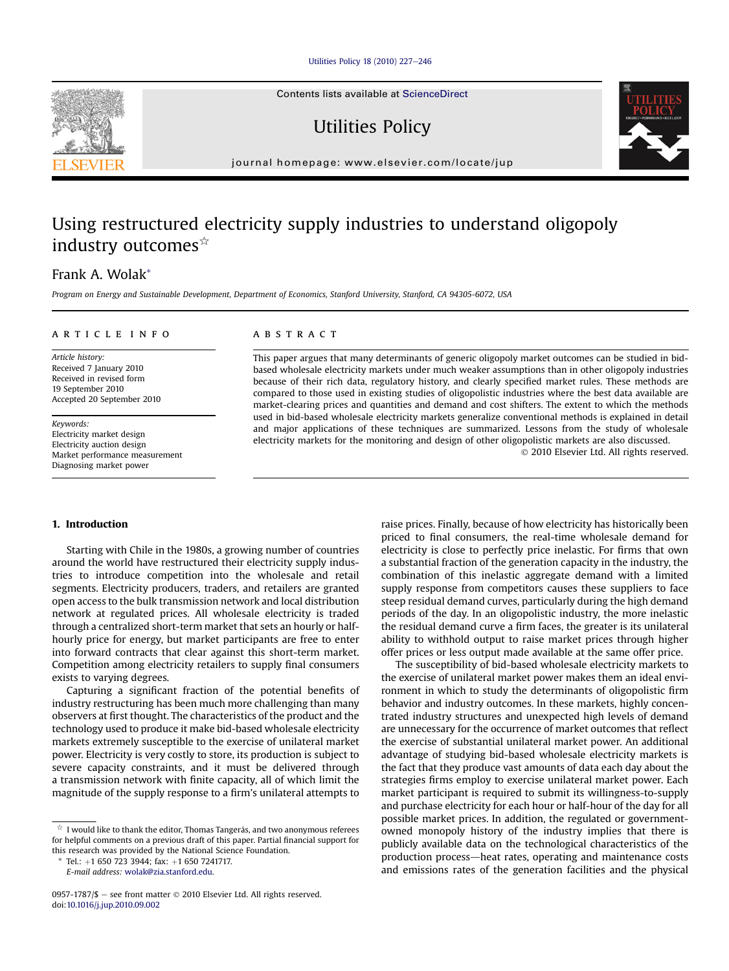[Utilities Policy 18 \(2010\) 227](http://dx.doi.org/10.1016/j.jup.2010.09.002)-[246](http://dx.doi.org/10.1016/j.jup.2010.09.002)

Contents lists available at ScienceDirect

Utilities Policy

journal homepage: [www.elsevier.com/locate/jup](http://www.elsevier.com/locate/jup)

## Using restructured electricity supply industries to understand oligopoly industry outcomes $\dot{\alpha}$

### Frank A. Wolak\*

Program on Energy and Sustainable Development, Department of Economics, Stanford University, Stanford, CA 94305-6072, USA

#### article info

Article history: Received 7 January 2010 Received in revised form 19 September 2010 Accepted 20 September 2010

Keywords: Electricity market design Electricity auction design Market performance measurement Diagnosing market power

1. Introduction

#### **ABSTRACT**

This paper argues that many determinants of generic oligopoly market outcomes can be studied in bidbased wholesale electricity markets under much weaker assumptions than in other oligopoly industries because of their rich data, regulatory history, and clearly specified market rules. These methods are compared to those used in existing studies of oligopolistic industries where the best data available are market-clearing prices and quantities and demand and cost shifters. The extent to which the methods used in bid-based wholesale electricity markets generalize conventional methods is explained in detail and major applications of these techniques are summarized. Lessons from the study of wholesale electricity markets for the monitoring and design of other oligopolistic markets are also discussed.

2010 Elsevier Ltd. All rights reserved.

Starting with Chile in the 1980s, a growing number of countries around the world have restructured their electricity supply industries to introduce competition into the wholesale and retail segments. Electricity producers, traders, and retailers are granted open access to the bulk transmission network and local distribution network at regulated prices. All wholesale electricity is traded through a centralized short-term market that sets an hourly or halfhourly price for energy, but market participants are free to enter into forward contracts that clear against this short-term market. Competition among electricity retailers to supply final consumers exists to varying degrees.

Capturing a significant fraction of the potential benefits of industry restructuring has been much more challenging than many observers at first thought. The characteristics of the product and the technology used to produce it make bid-based wholesale electricity markets extremely susceptible to the exercise of unilateral market power. Electricity is very costly to store, its production is subject to severe capacity constraints, and it must be delivered through a transmission network with finite capacity, all of which limit the magnitude of the supply response to a firm's unilateral attempts to

raise prices. Finally, because of how electricity has historically been priced to final consumers, the real-time wholesale demand for electricity is close to perfectly price inelastic. For firms that own a substantial fraction of the generation capacity in the industry, the combination of this inelastic aggregate demand with a limited supply response from competitors causes these suppliers to face steep residual demand curves, particularly during the high demand periods of the day. In an oligopolistic industry, the more inelastic the residual demand curve a firm faces, the greater is its unilateral ability to withhold output to raise market prices through higher offer prices or less output made available at the same offer price.

The susceptibility of bid-based wholesale electricity markets to the exercise of unilateral market power makes them an ideal environment in which to study the determinants of oligopolistic firm behavior and industry outcomes. In these markets, highly concentrated industry structures and unexpected high levels of demand are unnecessary for the occurrence of market outcomes that reflect the exercise of substantial unilateral market power. An additional advantage of studying bid-based wholesale electricity markets is the fact that they produce vast amounts of data each day about the strategies firms employ to exercise unilateral market power. Each market participant is required to submit its willingness-to-supply and purchase electricity for each hour or half-hour of the day for all possible market prices. In addition, the regulated or governmentowned monopoly history of the industry implies that there is publicly available data on the technological characteristics of the production process—heat rates, operating and maintenance costs and emissions rates of the generation facilities and the physical





 $\overrightarrow{x}$  I would like to thank the editor, Thomas Tangerås, and two anonymous referees for helpful comments on a previous draft of this paper. Partial financial support for this research was provided by the National Science Foundation.

Tel.: +1 650 723 3944; fax: +1 650 7241717.

E-mail address: [wolak@zia.stanford.edu](mailto:wolak@zia.stanford.edu).

<sup>0957-1787/\$</sup>  $-$  see front matter  $\odot$  2010 Elsevier Ltd. All rights reserved. doi[:10.1016/j.jup.2010.09.002](http://dx.doi.org/10.1016/j.jup.2010.09.002)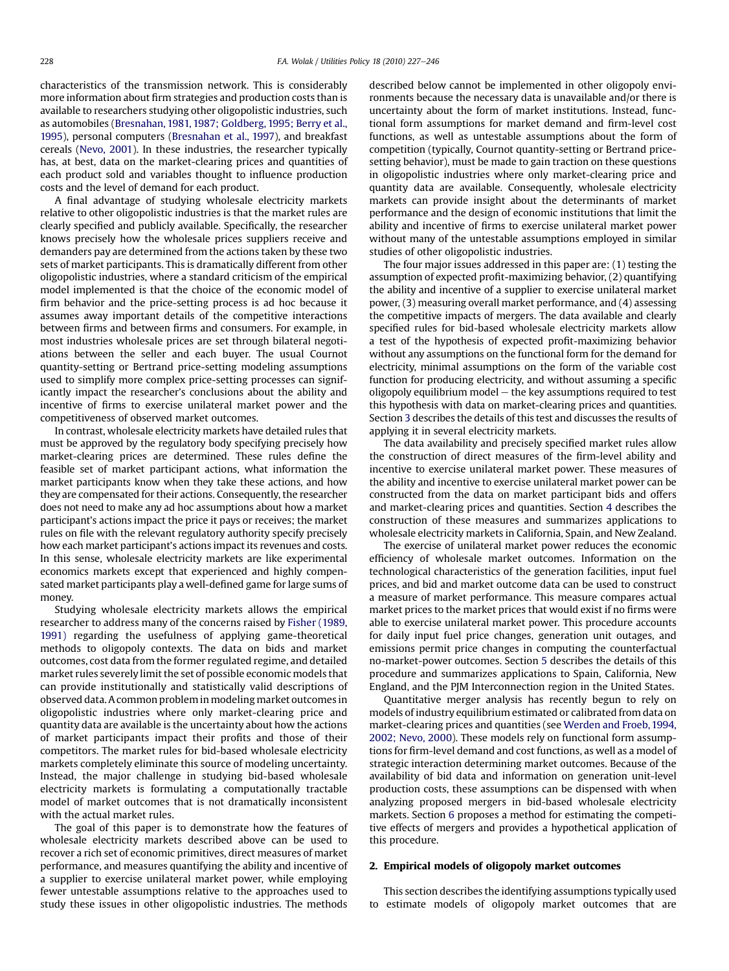characteristics of the transmission network. This is considerably more information about firm strategies and production costs than is available to researchers studying other oligopolistic industries, such as automobiles [\(Bresnahan, 1981, 1987; Goldberg, 1995; Berry et al.,](#page--1-0) [1995](#page--1-0)), personal computers ([Bresnahan et al., 1997](#page--1-0)), and breakfast cereals [\(Nevo, 2001](#page--1-0)). In these industries, the researcher typically has, at best, data on the market-clearing prices and quantities of each product sold and variables thought to influence production costs and the level of demand for each product.

A final advantage of studying wholesale electricity markets relative to other oligopolistic industries is that the market rules are clearly specified and publicly available. Specifically, the researcher knows precisely how the wholesale prices suppliers receive and demanders pay are determined from the actions taken by these two sets of market participants. This is dramatically different from other oligopolistic industries, where a standard criticism of the empirical model implemented is that the choice of the economic model of firm behavior and the price-setting process is ad hoc because it assumes away important details of the competitive interactions between firms and between firms and consumers. For example, in most industries wholesale prices are set through bilateral negotiations between the seller and each buyer. The usual Cournot quantity-setting or Bertrand price-setting modeling assumptions used to simplify more complex price-setting processes can significantly impact the researcher's conclusions about the ability and incentive of firms to exercise unilateral market power and the competitiveness of observed market outcomes.

In contrast, wholesale electricity markets have detailed rules that must be approved by the regulatory body specifying precisely how market-clearing prices are determined. These rules define the feasible set of market participant actions, what information the market participants know when they take these actions, and how they are compensated for their actions. Consequently, the researcher does not need to make any ad hoc assumptions about how a market participant's actions impact the price it pays or receives; the market rules on file with the relevant regulatory authority specify precisely how each market participant's actions impact its revenues and costs. In this sense, wholesale electricity markets are like experimental economics markets except that experienced and highly compensated market participants play a well-defined game for large sums of money.

Studying wholesale electricity markets allows the empirical researcher to address many of the concerns raised by [Fisher \(1989,](#page--1-0) [1991\)](#page--1-0) regarding the usefulness of applying game-theoretical methods to oligopoly contexts. The data on bids and market outcomes, cost data from the former regulated regime, and detailed market rules severely limit the set of possible economic models that can provide institutionally and statistically valid descriptions of observed data. A common problem in modeling market outcomes in oligopolistic industries where only market-clearing price and quantity data are available is the uncertainty about how the actions of market participants impact their profits and those of their competitors. The market rules for bid-based wholesale electricity markets completely eliminate this source of modeling uncertainty. Instead, the major challenge in studying bid-based wholesale electricity markets is formulating a computationally tractable model of market outcomes that is not dramatically inconsistent with the actual market rules.

The goal of this paper is to demonstrate how the features of wholesale electricity markets described above can be used to recover a rich set of economic primitives, direct measures of market performance, and measures quantifying the ability and incentive of a supplier to exercise unilateral market power, while employing fewer untestable assumptions relative to the approaches used to study these issues in other oligopolistic industries. The methods described below cannot be implemented in other oligopoly environments because the necessary data is unavailable and/or there is uncertainty about the form of market institutions. Instead, functional form assumptions for market demand and firm-level cost functions, as well as untestable assumptions about the form of competition (typically, Cournot quantity-setting or Bertrand pricesetting behavior), must be made to gain traction on these questions in oligopolistic industries where only market-clearing price and quantity data are available. Consequently, wholesale electricity markets can provide insight about the determinants of market performance and the design of economic institutions that limit the ability and incentive of firms to exercise unilateral market power without many of the untestable assumptions employed in similar studies of other oligopolistic industries.

The four major issues addressed in this paper are: (1) testing the assumption of expected profit-maximizing behavior, (2) quantifying the ability and incentive of a supplier to exercise unilateral market power, (3) measuring overall market performance, and (4) assessing the competitive impacts of mergers. The data available and clearly specified rules for bid-based wholesale electricity markets allow a test of the hypothesis of expected profit-maximizing behavior without any assumptions on the functional form for the demand for electricity, minimal assumptions on the form of the variable cost function for producing electricity, and without assuming a specific oligopoly equilibrium model  $-$  the key assumptions required to test this hypothesis with data on market-clearing prices and quantities. Section [3](#page--1-0) describes the details of this test and discusses the results of applying it in several electricity markets.

The data availability and precisely specified market rules allow the construction of direct measures of the firm-level ability and incentive to exercise unilateral market power. These measures of the ability and incentive to exercise unilateral market power can be constructed from the data on market participant bids and offers and market-clearing prices and quantities. Section [4](#page--1-0) describes the construction of these measures and summarizes applications to wholesale electricity markets in California, Spain, and New Zealand.

The exercise of unilateral market power reduces the economic efficiency of wholesale market outcomes. Information on the technological characteristics of the generation facilities, input fuel prices, and bid and market outcome data can be used to construct a measure of market performance. This measure compares actual market prices to the market prices that would exist if no firms were able to exercise unilateral market power. This procedure accounts for daily input fuel price changes, generation unit outages, and emissions permit price changes in computing the counterfactual no-market-power outcomes. Section [5](#page--1-0) describes the details of this procedure and summarizes applications to Spain, California, New England, and the PJM Interconnection region in the United States.

Quantitative merger analysis has recently begun to rely on models of industry equilibrium estimated or calibrated from data on market-clearing prices and quantities (see [Werden and Froeb, 1994,](#page--1-0) [2002; Nevo, 2000](#page--1-0)). These models rely on functional form assumptions for firm-level demand and cost functions, as well as a model of strategic interaction determining market outcomes. Because of the availability of bid data and information on generation unit-level production costs, these assumptions can be dispensed with when analyzing proposed mergers in bid-based wholesale electricity markets. Section [6](#page--1-0) proposes a method for estimating the competitive effects of mergers and provides a hypothetical application of this procedure.

#### 2. Empirical models of oligopoly market outcomes

This section describes the identifying assumptions typically used to estimate models of oligopoly market outcomes that are